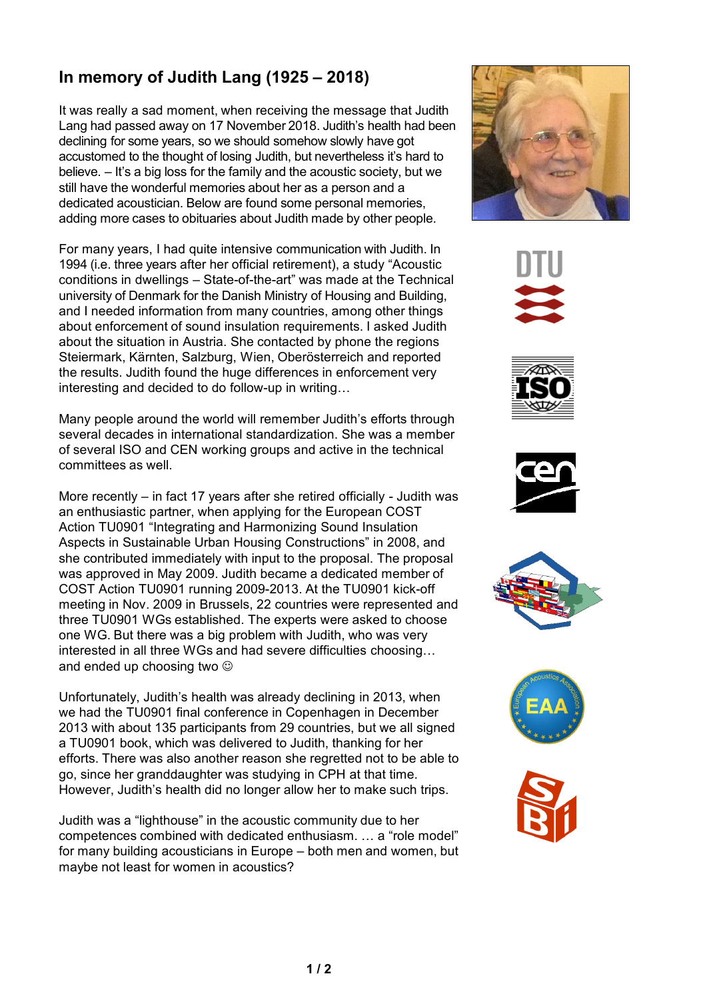## **In memory of Judith Lang (1925 – 2018)**

It was really a sad moment, when receiving the message that Judith Lang had passed away on 17 November 2018. Judith's health had been declining for some years, so we should somehow slowly have got accustomed to the thought of losing Judith, but nevertheless it's hard to believe. – It's a big loss for the family and the acoustic society, but we still have the wonderful memories about her as a person and a dedicated acoustician. Below are found some personal memories, adding more cases to obituaries about Judith made by other people.

For many years, I had quite intensive communication with Judith. In 1994 (i.e. three years after her official retirement), a study "Acoustic conditions in dwellings – State-of-the-art" was made at the Technical university of Denmark for the Danish Ministry of Housing and Building, and I needed information from many countries, among other things about enforcement of sound insulation requirements. I asked Judith about the situation in Austria. She contacted by phone the regions Steiermark, Kärnten, Salzburg, Wien, Oberösterreich and reported the results. Judith found the huge differences in enforcement very interesting and decided to do follow-up in writing…

Many people around the world will remember Judith's efforts through several decades in international standardization. She was a member of several ISO and CEN working groups and active in the technical committees as well.

More recently – in fact 17 years after she retired officially - Judith was an enthusiastic partner, when applying for the European COST Action TU0901 "Integrating and Harmonizing Sound Insulation Aspects in Sustainable Urban Housing Constructions" in 2008, and she contributed immediately with input to the proposal. The proposal was approved in May 2009. Judith became a dedicated member of COST Action TU0901 running 2009-2013. At the TU0901 kick-off meeting in Nov. 2009 in Brussels, 22 countries were represented and three TU0901 WGs established. The experts were asked to choose one WG. But there was a big problem with Judith, who was very interested in all three WGs and had severe difficulties choosing… and ended up choosing two  $\odot$ 

Unfortunately, Judith's health was already declining in 2013, when we had the TU0901 final conference in Copenhagen in December 2013 with about 135 participants from 29 countries, but we all signed a TU0901 book, which was delivered to Judith, thanking for her efforts. There was also another reason she regretted not to be able to go, since her granddaughter was studying in CPH at that time. However, Judith's health did no longer allow her to make such trips.

Judith was a "lighthouse" in the acoustic community due to her competences combined with dedicated enthusiasm. … a "role model" for many building acousticians in Europe – both men and women, but maybe not least for women in acoustics?